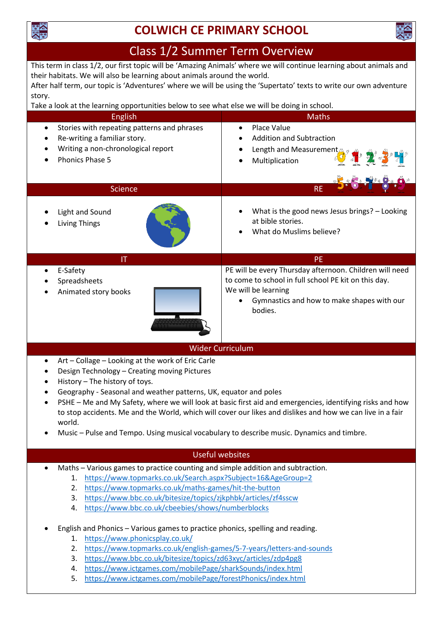

## **COLWICH CE PRIMARY SCHOOL**



### Class 1/2 Summer Term Overview

This term in class 1/2, our first topic will be 'Amazing Animals' where we will continue learning about animals and their habitats. We will also be learning about animals around the world. After half term, our topic is 'Adventures' where we will be using the 'Supertato' texts to write our own adventure

# story.

| Take a look at the learning opportunities below to see what else we will be doing in school.                                                                       |                                                                                                                                                                                                 |
|--------------------------------------------------------------------------------------------------------------------------------------------------------------------|-------------------------------------------------------------------------------------------------------------------------------------------------------------------------------------------------|
| <b>English</b>                                                                                                                                                     | <b>Maths</b>                                                                                                                                                                                    |
| Stories with repeating patterns and phrases<br>$\bullet$<br>Re-writing a familiar story.<br>٠<br>Writing a non-chronological report<br>٠<br><b>Phonics Phase 5</b> | <b>Place Value</b><br>$\bullet$<br><b>Addition and Subtraction</b><br>Length and Measurement<br>٠<br>不是<br>Multiplication                                                                       |
| <b>Science</b>                                                                                                                                                     | <b>RE</b>                                                                                                                                                                                       |
| Light and Sound<br>Living Things                                                                                                                                   | What is the good news Jesus brings? - Looking<br>at bible stories.<br>What do Muslims believe?                                                                                                  |
| IT                                                                                                                                                                 | <b>PE</b>                                                                                                                                                                                       |
| E-Safety<br>$\bullet$<br>Spreadsheets<br>Animated story books                                                                                                      | PE will be every Thursday afternoon. Children will need<br>to come to school in full school PE kit on this day.<br>We will be learning<br>Gymnastics and how to make shapes with our<br>bodies. |
| <b>Wider Curriculum</b>                                                                                                                                            |                                                                                                                                                                                                 |
| Art - Collage - Looking at the work of Eric Carle<br>Design Technology - Creating moving Pictures                                                                  |                                                                                                                                                                                                 |

- History The history of toys.
- Geography Seasonal and weather patterns, UK, equator and poles
- PSHE Me and My Safety, where we will look at basic first aid and emergencies, identifying risks and how to stop accidents. Me and the World, which will cover our likes and dislikes and how we can live in a fair world.
- Music Pulse and Tempo. Using musical vocabulary to describe music. Dynamics and timbre.

### Useful websites

- Maths Various games to practice counting and simple addition and subtraction.
	- 1. <https://www.topmarks.co.uk/Search.aspx?Subject=16&AgeGroup=2>
		- 2. <https://www.topmarks.co.uk/maths-games/hit-the-button>
		- 3. <https://www.bbc.co.uk/bitesize/topics/zjkphbk/articles/zf4sscw>
		- 4. <https://www.bbc.co.uk/cbeebies/shows/numberblocks>
- English and Phonics Various games to practice phonics, spelling and reading.
	- 1. <https://www.phonicsplay.co.uk/>
	- 2. <https://www.topmarks.co.uk/english-games/5-7-years/letters-and-sounds>
	- 3. <https://www.bbc.co.uk/bitesize/topics/zd63xyc/articles/zdp4pg8>
	- 4. <https://www.ictgames.com/mobilePage/sharkSounds/index.html>
	- 5. <https://www.ictgames.com/mobilePage/forestPhonics/index.html>